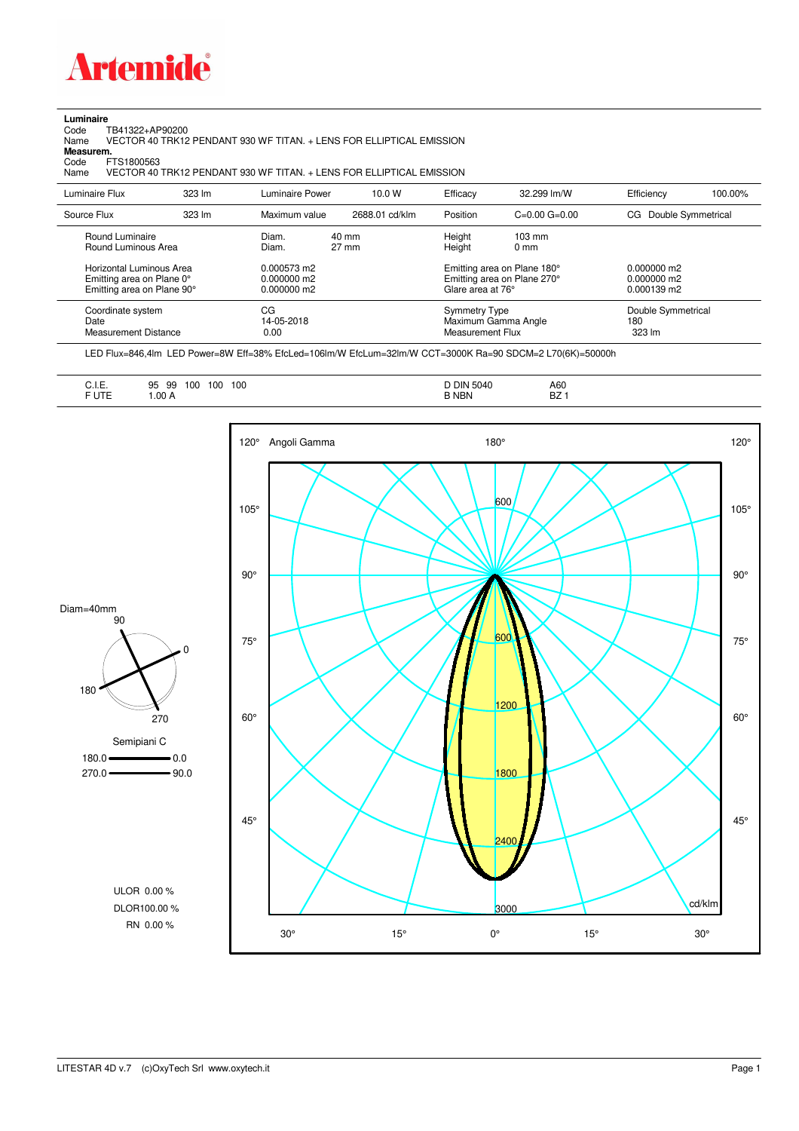

## **Luminaire**<br>Code T<br>Name

Code TB41322+AP90200 Name VECTOR 40 TRK12 PENDANT 930 WF TITAN. + LENS FOR ELLIPTICAL EMISSION

**Measurem.**

Code FTS1800563<br>Name VECTOR 40 VECTOR 40 TRK12 PENDANT 930 WF TITAN. + LENS FOR ELLIPTICAL EMISSION

| Luminaire Flux                                                                                  | 323 lm           | Luminaire Power                                | 10.0 W                             | Efficacy                                               | 32.299 lm/W                                                                                      | Efficiency                                                  | 100.00% |
|-------------------------------------------------------------------------------------------------|------------------|------------------------------------------------|------------------------------------|--------------------------------------------------------|--------------------------------------------------------------------------------------------------|-------------------------------------------------------------|---------|
| Source Flux                                                                                     | $323 \text{ Im}$ | Maximum value                                  | 2688.01 cd/klm                     | Position                                               | $C=0.00$ $G=0.00$                                                                                | Double Symmetrical<br>CG.                                   |         |
| Round Luminaire<br>Round Luminous Area<br>Horizontal Luminous Area<br>Emitting area on Plane 0° |                  | Diam.<br>Diam.<br>0.000573 m2<br>$0.000000$ m2 | $40 \text{ mm}$<br>$27 \text{ mm}$ | Height<br>Height                                       | $103 \text{ mm}$<br>$0 \text{ mm}$<br>Emitting area on Plane 180°<br>Emitting area on Plane 270° | $0.000000$ m2<br>$0.000000$ m2                              |         |
| Emitting area on Plane 90°<br>Coordinate system<br>Date<br>Measurement Distance                 |                  | $0.000000$ m2<br>CG<br>14-05-2018<br>0.00      |                                    | Glare area at 76°<br>Symmetry Type<br>Measurement Flux | Maximum Gamma Angle                                                                              | $0.000139 \text{ m}$<br>Double Symmetrical<br>180<br>323 lm |         |

LED Flux=846,4lm LED Power=8W Eff=38% EfcLed=106lm/W EfcLum=32lm/W CCT=3000K Ra=90 SDCM=2 L70(6K)=50000h

|--|